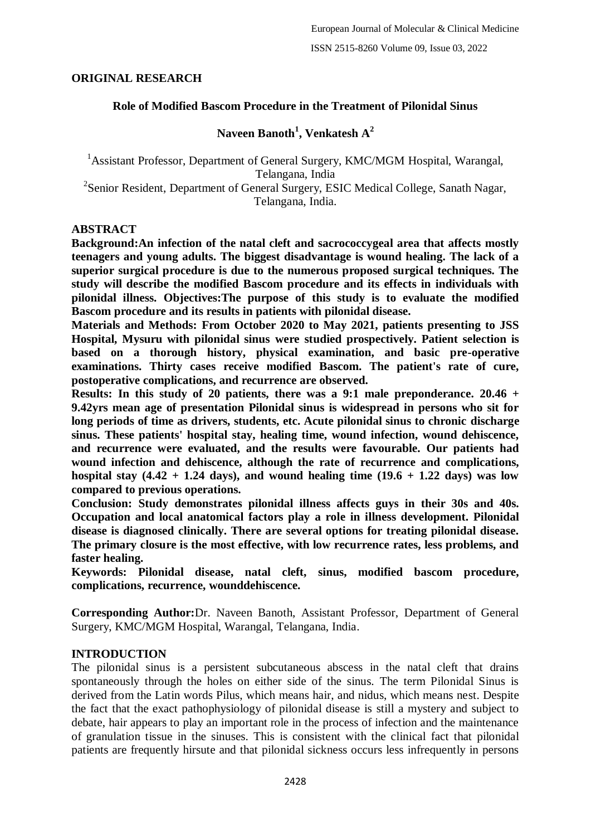# **ORIGINAL RESEARCH**

# **Role of Modified Bascom Procedure in the Treatment of Pilonidal Sinus**

# **Naveen Banoth<sup>1</sup> , Venkatesh A<sup>2</sup>**

<sup>1</sup>Assistant Professor, Department of General Surgery, KMC/MGM Hospital, Warangal, Telangana, India <sup>2</sup> Senior Resident, Department of General Surgery, ESIC Medical College, Sanath Nagar,

Telangana, India.

## **ABSTRACT**

**Background:An infection of the natal cleft and sacrococcygeal area that affects mostly teenagers and young adults. The biggest disadvantage is wound healing. The lack of a superior surgical procedure is due to the numerous proposed surgical techniques. The study will describe the modified Bascom procedure and its effects in individuals with pilonidal illness. Objectives:The purpose of this study is to evaluate the modified Bascom procedure and its results in patients with pilonidal disease.**

**Materials and Methods: From October 2020 to May 2021, patients presenting to JSS Hospital, Mysuru with pilonidal sinus were studied prospectively. Patient selection is based on a thorough history, physical examination, and basic pre-operative examinations. Thirty cases receive modified Bascom. The patient's rate of cure, postoperative complications, and recurrence are observed.**

**Results: In this study of 20 patients, there was a 9:1 male preponderance. 20.46 + 9.42yrs mean age of presentation Pilonidal sinus is widespread in persons who sit for long periods of time as drivers, students, etc. Acute pilonidal sinus to chronic discharge sinus. These patients' hospital stay, healing time, wound infection, wound dehiscence, and recurrence were evaluated, and the results were favourable. Our patients had wound infection and dehiscence, although the rate of recurrence and complications,**  hospital stay  $(4.42 + 1.24$  days), and wound healing time  $(19.6 + 1.22$  days) was low **compared to previous operations.**

**Conclusion: Study demonstrates pilonidal illness affects guys in their 30s and 40s. Occupation and local anatomical factors play a role in illness development. Pilonidal disease is diagnosed clinically. There are several options for treating pilonidal disease. The primary closure is the most effective, with low recurrence rates, less problems, and faster healing.**

**Keywords: Pilonidal disease, natal cleft, sinus, modified bascom procedure, complications, recurrence, wounddehiscence.**

**Corresponding Author:**Dr. Naveen Banoth, Assistant Professor, Department of General Surgery, KMC/MGM Hospital, Warangal, Telangana, India.

# **INTRODUCTION**

The pilonidal sinus is a persistent subcutaneous abscess in the natal cleft that drains spontaneously through the holes on either side of the sinus. The term Pilonidal Sinus is derived from the Latin words Pilus, which means hair, and nidus, which means nest. Despite the fact that the exact pathophysiology of pilonidal disease is still a mystery and subject to debate, hair appears to play an important role in the process of infection and the maintenance of granulation tissue in the sinuses. This is consistent with the clinical fact that pilonidal patients are frequently hirsute and that pilonidal sickness occurs less infrequently in persons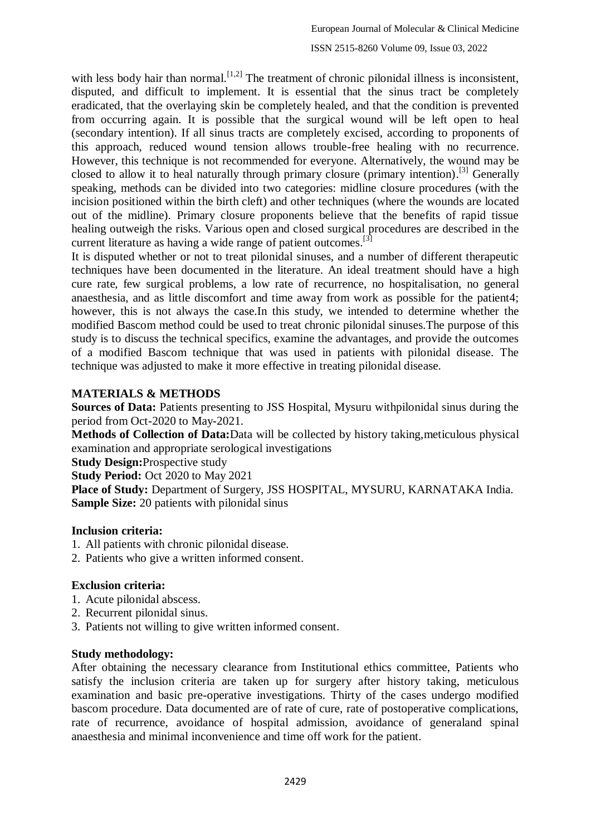with less body hair than normal.  $[1,2]$  The treatment of chronic pilonidal illness is inconsistent, disputed, and difficult to implement. It is essential that the sinus tract be completely eradicated, that the overlaying skin be completely healed, and that the condition is prevented from occurring again. It is possible that the surgical wound will be left open to heal (secondary intention). If all sinus tracts are completely excised, according to proponents of this approach, reduced wound tension allows trouble-free healing with no recurrence. However, this technique is not recommended for everyone. Alternatively, the wound may be closed to allow it to heal naturally through primary closure (primary intention). [3] Generally speaking, methods can be divided into two categories: midline closure procedures (with the incision positioned within the birth cleft) and other techniques (where the wounds are located out of the midline). Primary closure proponents believe that the benefits of rapid tissue healing outweigh the risks. Various open and closed surgical procedures are described in the current literature as having a wide range of patient outcomes.<sup>[3]</sup>

It is disputed whether or not to treat pilonidal sinuses, and a number of different therapeutic techniques have been documented in the literature. An ideal treatment should have a high cure rate, few surgical problems, a low rate of recurrence, no hospitalisation, no general anaesthesia, and as little discomfort and time away from work as possible for the patient4; however, this is not always the case.In this study, we intended to determine whether the modified Bascom method could be used to treat chronic pilonidal sinuses.The purpose of this study is to discuss the technical specifics, examine the advantages, and provide the outcomes of a modified Bascom technique that was used in patients with pilonidal disease. The technique was adjusted to make it more effective in treating pilonidal disease.

# **MATERIALS & METHODS**

**Sources of Data:** Patients presenting to JSS Hospital, Mysuru withpilonidal sinus during the period from Oct-2020 to May-2021.

**Methods of Collection of Data:**Data will be collected by history taking,meticulous physical examination and appropriate serological investigations

**Study Design:**Prospective study

**Study Period:** Oct 2020 to May 2021

**Place of Study:** Department of Surgery, JSS HOSPITAL, MYSURU, KARNATAKA India. **Sample Size:** 20 patients with pilonidal sinus

# **Inclusion criteria:**

- 1. All patients with chronic pilonidal disease.
- 2. Patients who give a written informed consent.

# **Exclusion criteria:**

- 1. Acute pilonidal abscess.
- 2. Recurrent pilonidal sinus.
- 3. Patients not willing to give written informed consent.

### **Study methodology:**

After obtaining the necessary clearance from Institutional ethics committee, Patients who satisfy the inclusion criteria are taken up for surgery after history taking, meticulous examination and basic pre-operative investigations. Thirty of the cases undergo modified bascom procedure. Data documented are of rate of cure, rate of postoperative complications, rate of recurrence, avoidance of hospital admission, avoidance of generaland spinal anaesthesia and minimal inconvenience and time off work for the patient.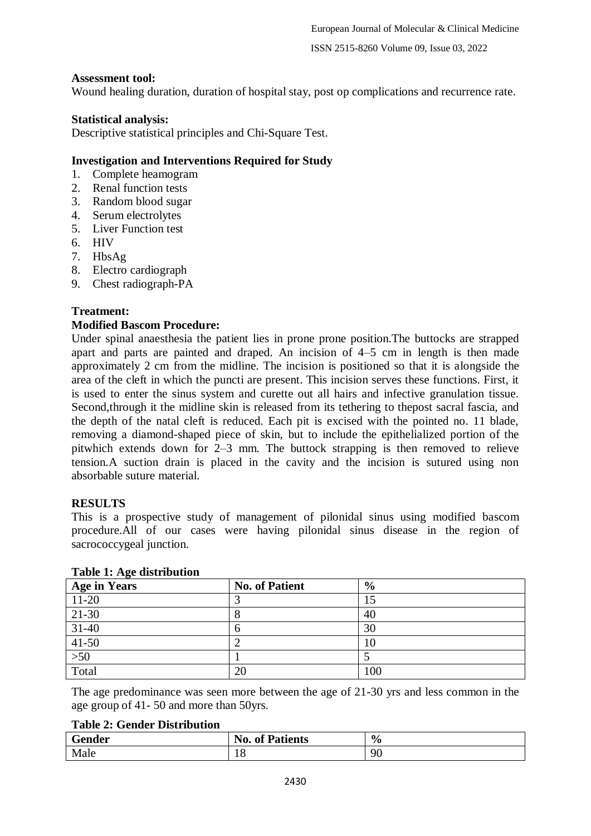## **Assessment tool:**

Wound healing duration, duration of hospital stay, post op complications and recurrence rate.

## **Statistical analysis:**

Descriptive statistical principles and Chi-Square Test.

## **Investigation and Interventions Required for Study**

- 1. Complete heamogram
- 2. Renal function tests
- 3. Random blood sugar
- 4. Serum electrolytes
- 5. Liver Function test
- 6. HIV
- 7. HbsAg
- 8. Electro cardiograph
- 9. Chest radiograph-PA

# **Treatment:**

## **Modified Bascom Procedure:**

Under spinal anaesthesia the patient lies in prone prone position.The buttocks are strapped apart and parts are painted and draped. An incision of 4–5 cm in length is then made approximately 2 cm from the midline. The incision is positioned so that it is alongside the area of the cleft in which the puncti are present. This incision serves these functions. First, it is used to enter the sinus system and curette out all hairs and infective granulation tissue. Second,through it the midline skin is released from its tethering to thepost sacral fascia, and the depth of the natal cleft is reduced. Each pit is excised with the pointed no. 11 blade, removing a diamond-shaped piece of skin, but to include the epithelialized portion of the pitwhich extends down for 2–3 mm. The buttock strapping is then removed to relieve tension.A suction drain is placed in the cavity and the incision is sutured using non absorbable suture material.

# **RESULTS**

This is a prospective study of management of pilonidal sinus using modified bascom procedure.All of our cases were having pilonidal sinus disease in the region of sacrococcygeal junction.

| $\tilde{\phantom{a}}$<br><b>Age in Years</b> | <b>No. of Patient</b> | $\frac{0}{0}$ |
|----------------------------------------------|-----------------------|---------------|
| $11-20$                                      |                       |               |
| $21-30$                                      |                       | 40            |
| $31-40$                                      |                       | 30            |
| $41-50$                                      |                       |               |
| $>50$                                        |                       |               |
| Total                                        | 20                    | 100           |

### **Table 1: Age distribution**

The age predominance was seen more between the age of 21-30 yrs and less common in the age group of 41- 50 and more than 50yrs.

### **Table 2: Gender Distribution**

| Gender | $\blacksquare$<br>$\mathbf{e}$ Da<br>'atients<br>ഹ<br>w.<br>vı | $\frac{0}{0}$ |
|--------|----------------------------------------------------------------|---------------|
|        | $\Omega$<br>ΙU                                                 | 90            |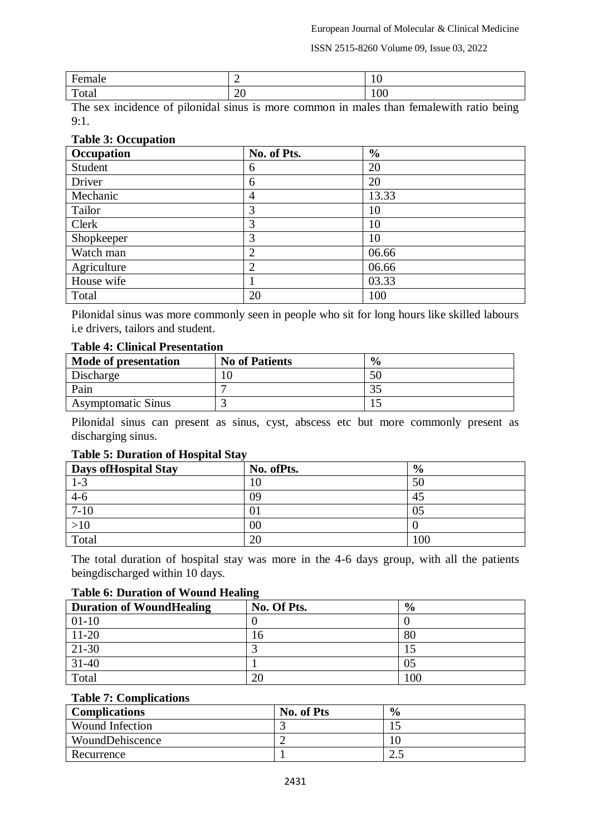#### ISSN 2515-8260 Volume 09, Issue 03, 2022

| ᠇<br>⊸<br>лак<br>-<br>. | _     | $\epsilon$<br>$\overline{1}$ |
|-------------------------|-------|------------------------------|
| $\mathbf{r}$<br>`otal   | <br>້ | 100                          |

The sex incidence of pilonidal sinus is more common in males than femalewith ratio being 9:1.

### **Table 3: Occupation**

| Occupation  | No. of Pts. | $\frac{6}{6}$ |
|-------------|-------------|---------------|
| Student     | 6           | 20            |
| Driver      | 6           | 20            |
| Mechanic    | 4           | 13.33         |
| Tailor      | 3           | 10            |
| Clerk       | 3           | 10            |
| Shopkeeper  | 3           | 10            |
| Watch man   | 2           | 06.66         |
| Agriculture | 2           | 06.66         |
| House wife  |             | 03.33         |
| Total       | 20          | 100           |

Pilonidal sinus was more commonly seen in people who sit for long hours like skilled labours i.e drivers, tailors and student.

#### **Table 4: Clinical Presentation**

| Mode of presentation      | <b>No of Patients</b> | $\frac{6}{9}$ |
|---------------------------|-----------------------|---------------|
| Discharge                 |                       |               |
| Pain                      |                       |               |
| <b>Asymptomatic Sinus</b> |                       |               |

Pilonidal sinus can present as sinus, cyst, abscess etc but more commonly present as discharging sinus.

### **Table 5: Duration of Hospital Stay**

| Days of Hospital Stay | No. ofPts. | $\frac{6}{9}$ |
|-----------------------|------------|---------------|
| $1-3$                 | 10         | 50            |
| $4-6$                 | 09         | 45            |
| $7 - 10$              | 01         | 05            |
| $>10$                 | 00         |               |
| Total                 | 20         | 100           |

The total duration of hospital stay was more in the 4-6 days group, with all the patients beingdischarged within 10 days.

### **Table 6: Duration of Wound Healing**

| <b>Duration of WoundHealing</b> | No. Of Pts. | $\frac{6}{6}$ |
|---------------------------------|-------------|---------------|
| $01-10$                         |             |               |
| $11-20$                         | ı6          | 80            |
| $21-30$                         |             | 15            |
| $31 - 40$                       |             | 05            |
| Total                           | 20          | 100           |

### **Table 7: Complications**

| <b>Complications</b>   | No. of Pts | $\frac{6}{9}$ |
|------------------------|------------|---------------|
| <b>Wound Infection</b> |            |               |
| WoundDehiscence        |            |               |
| Recurrence             |            | ت. ک          |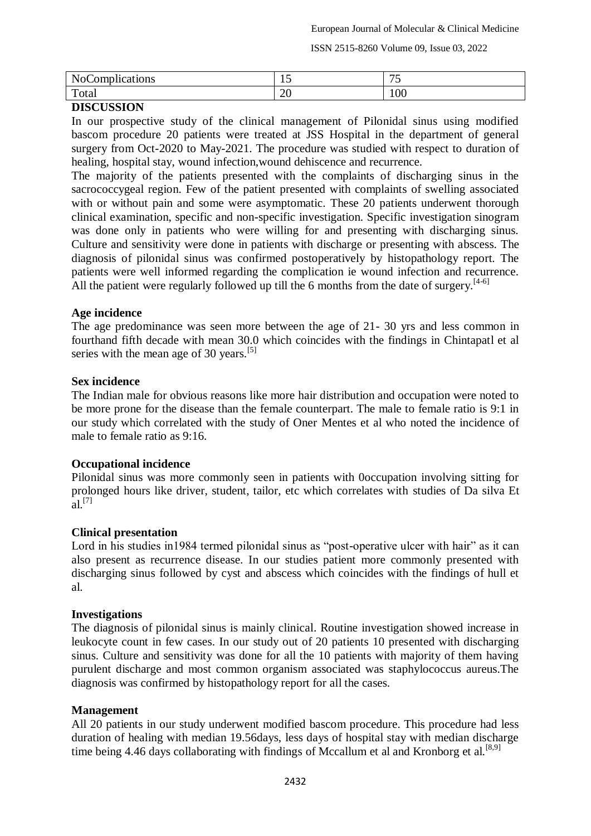ISSN 2515-8260 Volume 09, Issue 03, 2022

| - -<br>N.<br>∽<br>$\sim$ m<br>∽<br>ications | $\overline{1}$      | $\overline{\phantom{0}}$<br>$\overline{\phantom{0}}$ |
|---------------------------------------------|---------------------|------------------------------------------------------|
| m<br>Total                                  | $\sim$<br>∠∪<br>___ | 100                                                  |

## **DISCUSSION**

In our prospective study of the clinical management of Pilonidal sinus using modified bascom procedure 20 patients were treated at JSS Hospital in the department of general surgery from Oct-2020 to May-2021. The procedure was studied with respect to duration of healing, hospital stay, wound infection,wound dehiscence and recurrence.

The majority of the patients presented with the complaints of discharging sinus in the sacrococcygeal region. Few of the patient presented with complaints of swelling associated with or without pain and some were asymptomatic. These 20 patients underwent thorough clinical examination, specific and non-specific investigation. Specific investigation sinogram was done only in patients who were willing for and presenting with discharging sinus. Culture and sensitivity were done in patients with discharge or presenting with abscess. The diagnosis of pilonidal sinus was confirmed postoperatively by histopathology report. The patients were well informed regarding the complication ie wound infection and recurrence. All the patient were regularly followed up till the 6 months from the date of surgery.<sup>[4-6]</sup>

### **Age incidence**

The age predominance was seen more between the age of 21- 30 yrs and less common in fourthand fifth decade with mean 30.0 which coincides with the findings in Chintapatl et al series with the mean age of 30 years.<sup>[5]</sup>

### **Sex incidence**

The Indian male for obvious reasons like more hair distribution and occupation were noted to be more prone for the disease than the female counterpart. The male to female ratio is 9:1 in our study which correlated with the study of Oner Mentes et al who noted the incidence of male to female ratio as 9:16.

### **Occupational incidence**

Pilonidal sinus was more commonly seen in patients with 0occupation involving sitting for prolonged hours like driver, student, tailor, etc which correlates with studies of Da silva Et  $a^{[7]}$ 

#### **Clinical presentation**

Lord in his studies in 1984 termed pilonidal sinus as "post-operative ulcer with hair" as it can also present as recurrence disease. In our studies patient more commonly presented with discharging sinus followed by cyst and abscess which coincides with the findings of hull et al.

#### **Investigations**

The diagnosis of pilonidal sinus is mainly clinical. Routine investigation showed increase in leukocyte count in few cases. In our study out of 20 patients 10 presented with discharging sinus. Culture and sensitivity was done for all the 10 patients with majority of them having purulent discharge and most common organism associated was staphylococcus aureus.The diagnosis was confirmed by histopathology report for all the cases.

### **Management**

All 20 patients in our study underwent modified bascom procedure. This procedure had less duration of healing with median 19.56days, less days of hospital stay with median discharge time being 4.46 days collaborating with findings of Mccallum et al and Kronborg et al.<sup>[8,9]</sup>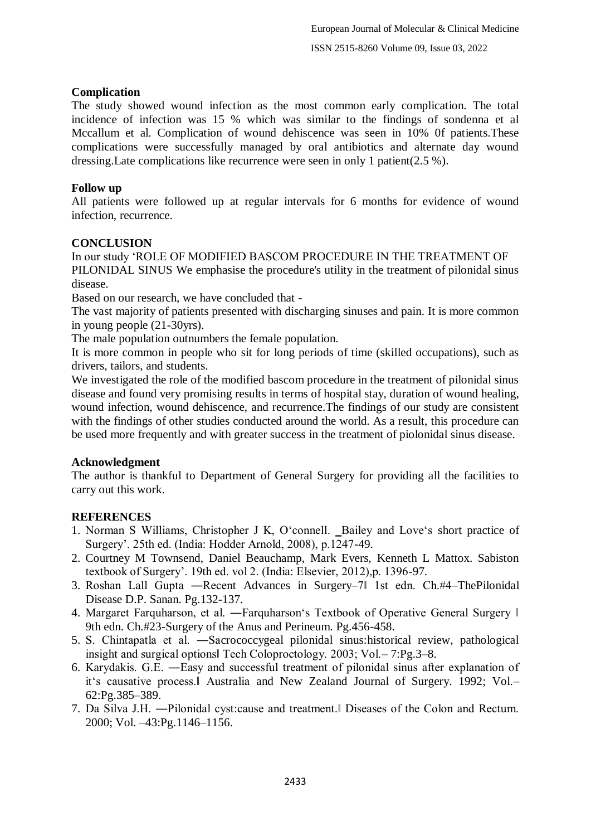## **Complication**

The study showed wound infection as the most common early complication. The total incidence of infection was 15 % which was similar to the findings of sondenna et al Mccallum et al. Complication of wound dehiscence was seen in 10% 0f patients.These complications were successfully managed by oral antibiotics and alternate day wound dressing.Late complications like recurrence were seen in only 1 patient(2.5 %).

## **Follow up**

All patients were followed up at regular intervals for 6 months for evidence of wound infection, recurrence.

## **CONCLUSION**

In our study "ROLE OF MODIFIED BASCOM PROCEDURE IN THE TREATMENT OF PILONIDAL SINUS We emphasise the procedure's utility in the treatment of pilonidal sinus disease.

Based on our research, we have concluded that -

The vast majority of patients presented with discharging sinuses and pain. It is more common in young people (21-30yrs).

The male population outnumbers the female population.

It is more common in people who sit for long periods of time (skilled occupations), such as drivers, tailors, and students.

We investigated the role of the modified bascom procedure in the treatment of pilonidal sinus disease and found very promising results in terms of hospital stay, duration of wound healing, wound infection, wound dehiscence, and recurrence.The findings of our study are consistent with the findings of other studies conducted around the world. As a result, this procedure can be used more frequently and with greater success in the treatment of piolonidal sinus disease.

# **Acknowledgment**

The author is thankful to Department of General Surgery for providing all the facilities to carry out this work.

# **REFERENCES**

- 1. Norman S Williams, Christopher J K, O'connell. Bailey and Love's short practice of Surgery". 25th ed. (India: Hodder Arnold, 2008), p.1247-49.
- 2. Courtney M Townsend, Daniel Beauchamp, Mark Evers, Kenneth L Mattox. Sabiston textbook of Surgery". 19th ed. vol 2. (India: Elsevier, 2012),p. 1396-97.
- 3. Roshan Lall Gupta ―Recent Advances in Surgery–7ǁ 1st edn. Ch.#4–ThePilonidal Disease D.P. Sanan. Pg.132-137.
- 4. Margaret Farquharson, et al. —Farquharson's Textbook of Operative General Surgery  $\parallel$ 9th edn. Ch.#23-Surgery of the Anus and Perineum. Pg.456-458.
- 5. S. Chintapatla et al. ―Sacrococcygeal pilonidal sinus:historical review, pathological insight and surgical optionsǁ Tech Coloproctology. 2003; Vol.– 7:Pg.3–8.
- 6. Karydakis. G.E. ―Easy and successful treatment of pilonidal sinus after explanation of it"s causative process.ǁ Australia and New Zealand Journal of Surgery. 1992; Vol.– 62:Pg.385–389.
- 7. Da Silva J.H. ―Pilonidal cyst:cause and treatment.ǁ Diseases of the Colon and Rectum. 2000; Vol. –43:Pg.1146–1156.